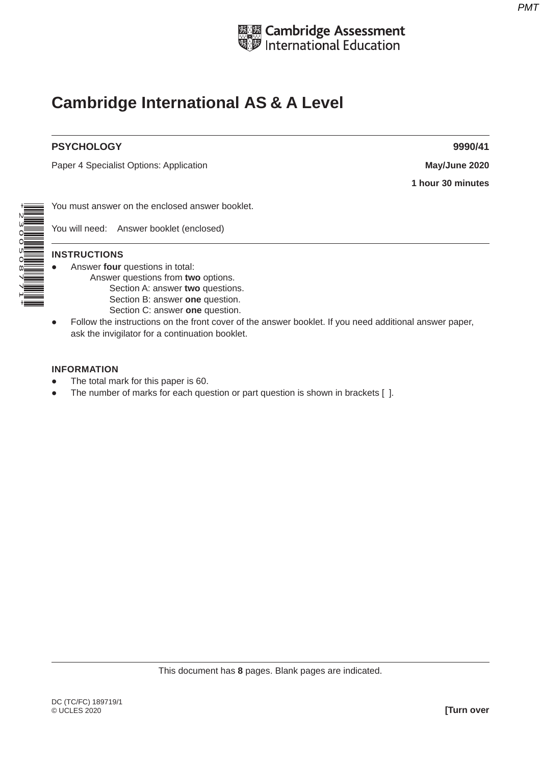

# **Cambridge International AS & A Level**

#### **PSYCHOLOGY 9990/41**

Paper 4 Specialist Options: Application **May/June 2020**

**1 hour 30 minutes**



You must answer on the enclosed answer booklet.

You will need: Answer booklet (enclosed)

#### **INSTRUCTIONS**

- Answer **four** questions in total:
	- Answer questions from **two** options. Section A: answer **two** questions. Section B: answer **one** question. Section C: answer **one** question.
- Follow the instructions on the front cover of the answer booklet. If you need additional answer paper, ask the invigilator for a continuation booklet.

#### **INFORMATION**

- The total mark for this paper is 60.
- The number of marks for each question or part question is shown in brackets [].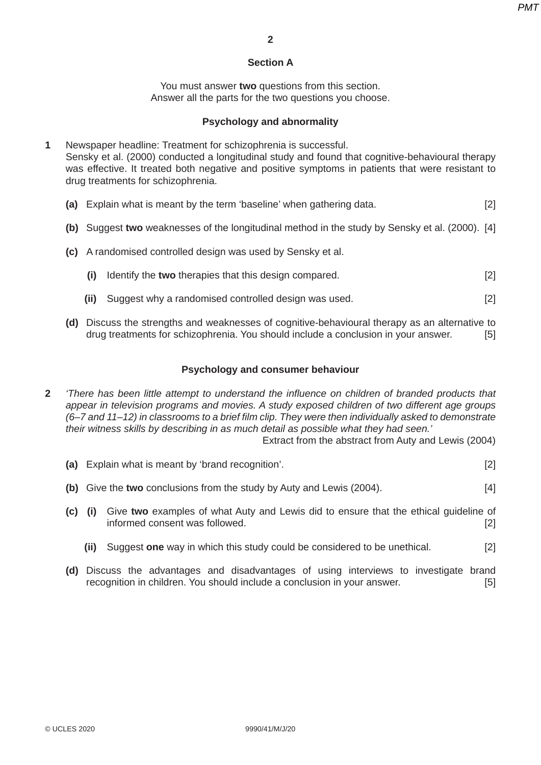#### **Section A**

You must answer **two** questions from this section. Answer all the parts for the two questions you choose.

#### **Psychology and abnormality**

**1** Newspaper headline: Treatment for schizophrenia is successful. Sensky et al. (2000) conducted a longitudinal study and found that cognitive-behavioural therapy was effective. It treated both negative and positive symptoms in patients that were resistant to drug treatments for schizophrenia.

- **(a)** Explain what is meant by the term 'baseline' when gathering data. [2]
- **(b)** Suggest **two** weaknesses of the longitudinal method in the study by Sensky et al. (2000). [4]
- **(c)** A randomised controlled design was used by Sensky et al.
	- **(i)** Identify the **two** therapies that this design compared. [2]
	- **(ii)** Suggest why a randomised controlled design was used. [2]
- **(d)** Discuss the strengths and weaknesses of cognitive-behavioural therapy as an alternative to drug treatments for schizophrenia. You should include a conclusion in your answer. [5]

#### **Psychology and consumer behaviour**

**2** *'There has been little attempt to understand the influence on children of branded products that appear in television programs and movies. A study exposed children of two different age groups (6–7 and 11–12) in classrooms to a brief film clip. They were then individually asked to demonstrate their witness skills by describing in as much detail as possible what they had seen.'*

Extract from the abstract from Auty and Lewis (2004)

- **(a)** Explain what is meant by 'brand recognition'. [2]
- **(b)** Give the **two** conclusions from the study by Auty and Lewis (2004). [4]
- **(c) (i)** Give **two** examples of what Auty and Lewis did to ensure that the ethical guideline of informed consent was followed. [2]
	- **(ii)** Suggest **one** way in which this study could be considered to be unethical. [2]
- **(d)** Discuss the advantages and disadvantages of using interviews to investigate brand recognition in children. You should include a conclusion in your answer. [5]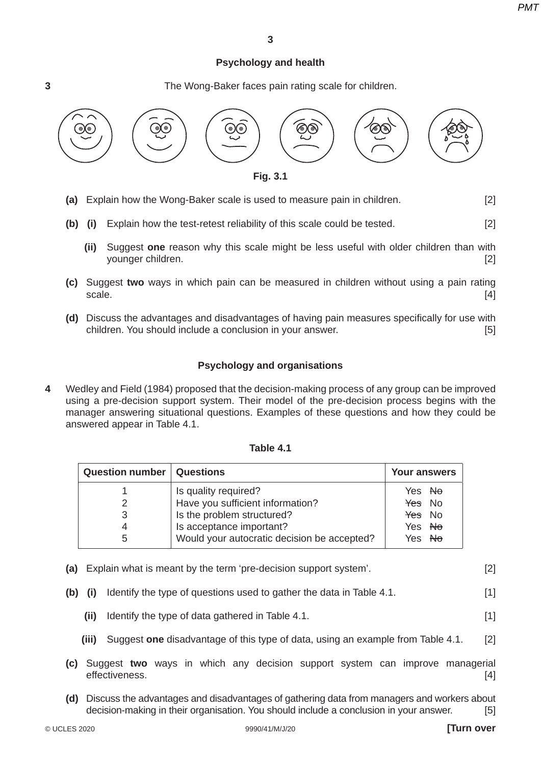## **Psychology and health**

**3 The Wong-Baker faces pain rating scale for children.** 



**Fig. 3.1**

- **(a)** Explain how the Wong-Baker scale is used to measure pain in children. [2]
- **(b) (i)** Explain how the test-retest reliability of this scale could be tested. [2]
	- **(ii)** Suggest **one** reason why this scale might be less useful with older children than with younger children. [2]
- **(c)** Suggest **two** ways in which pain can be measured in children without using a pain rating scale. [4]
- **(d)** Discuss the advantages and disadvantages of having pain measures specifically for use with children. You should include a conclusion in your answer. [5]

#### **Psychology and organisations**

**4** Wedley and Field (1984) proposed that the decision-making process of any group can be improved using a pre-decision support system. Their model of the pre-decision process begins with the manager answering situational questions. Examples of these questions and how they could be answered appear in Table 4.1.

| Question number   Questions |                                             | <b>Your answers</b> |
|-----------------------------|---------------------------------------------|---------------------|
|                             | Is quality required?                        | Yes <del>No</del>   |
|                             | Have you sufficient information?            | Yes No              |
| 3                           | Is the problem structured?                  | Yes No              |
| 4                           | Is acceptance important?                    | Yes No              |
| 5                           | Would your autocratic decision be accepted? | Yes No              |

| Table |  |
|-------|--|
|-------|--|

- **(a)** Explain what is meant by the term 'pre-decision support system'. [2]
- **(b) (i)** Identify the type of questions used to gather the data in Table 4.1. [1]
	- **(ii)** Identify the type of data gathered in Table 4.1. *II*  $\begin{bmatrix} 1 \end{bmatrix}$
	- **(iii)** Suggest **one** disadvantage of this type of data, using an example from Table 4.1. [2]
- **(c)** Suggest **two** ways in which any decision support system can improve managerial effectiveness. [4]
- **(d)** Discuss the advantages and disadvantages of gathering data from managers and workers about decision-making in their organisation. You should include a conclusion in your answer. [5]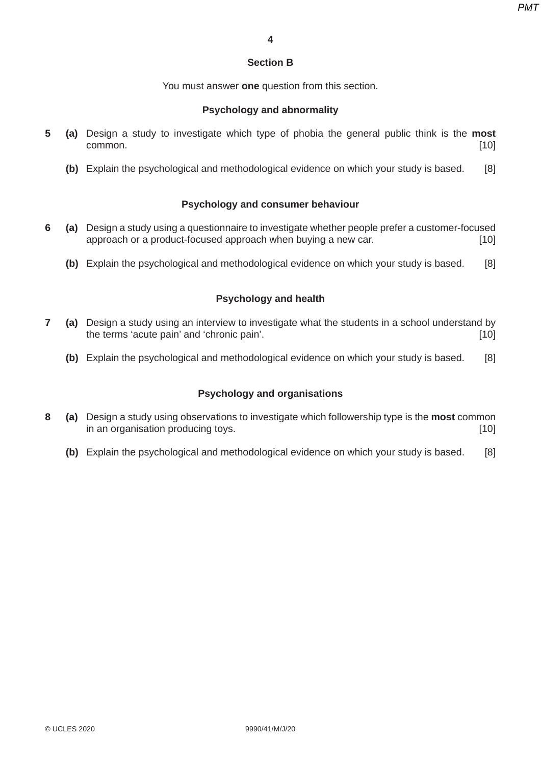## **Section B**

You must answer **one** question from this section.

## **Psychology and abnormality**

- **5 (a)** Design a study to investigate which type of phobia the general public think is the **most**   ${\sf common}.$  [10]
	- **(b)** Explain the psychological and methodological evidence on which your study is based. [8]

## **Psychology and consumer behaviour**

- **6 (a)** Design a study using a questionnaire to investigate whether people prefer a customer-focused approach or a product-focused approach when buying a new car. [10]
	- **(b)** Explain the psychological and methodological evidence on which your study is based. [8]

## **Psychology and health**

- **7 (a)** Design a study using an interview to investigate what the students in a school understand by the terms 'acute pain' and 'chronic pain'. [10]
	- **(b)** Explain the psychological and methodological evidence on which your study is based. [8]

## **Psychology and organisations**

- **8 (a)** Design a study using observations to investigate which followership type is the **most** common in an organisation producing toys. [10]
	- **(b)** Explain the psychological and methodological evidence on which your study is based. [8]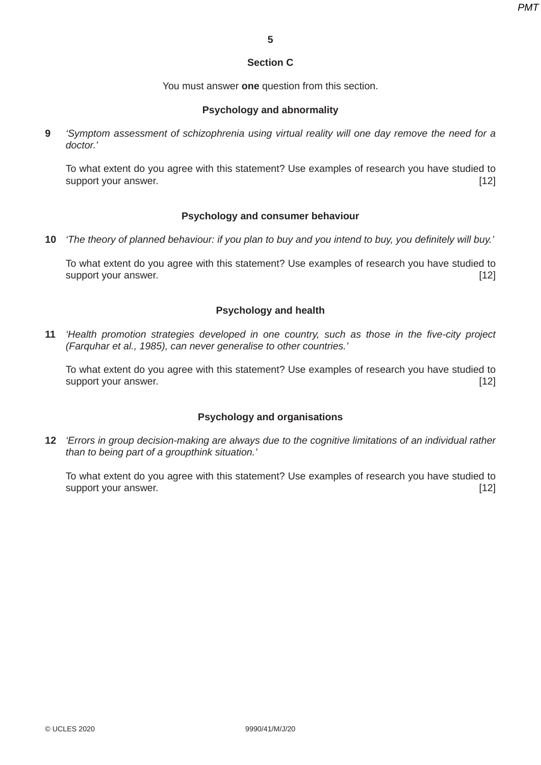## **Section C**

You must answer **one** question from this section.

## **Psychology and abnormality**

**9** *'Symptom assessment of schizophrenia using virtual reality will one day remove the need for a doctor.'*

 To what extent do you agree with this statement? Use examples of research you have studied to support your answer. **[12]** Support your answer.

## **Psychology and consumer behaviour**

**10** *'The theory of planned behaviour: if you plan to buy and you intend to buy, you definitely will buy.'*

 To what extent do you agree with this statement? Use examples of research you have studied to support your answer. [12] support your answer.

#### **Psychology and health**

**11** *'Health promotion strategies developed in one country, such as those in the five-city project (Farquhar et al., 1985), can never generalise to other countries.'*

 To what extent do you agree with this statement? Use examples of research you have studied to support your answer. [12] support your answer.

#### **Psychology and organisations**

**12** *'Errors in group decision-making are always due to the cognitive limitations of an individual rather than to being part of a groupthink situation.'*

 To what extent do you agree with this statement? Use examples of research you have studied to support your answer. [12]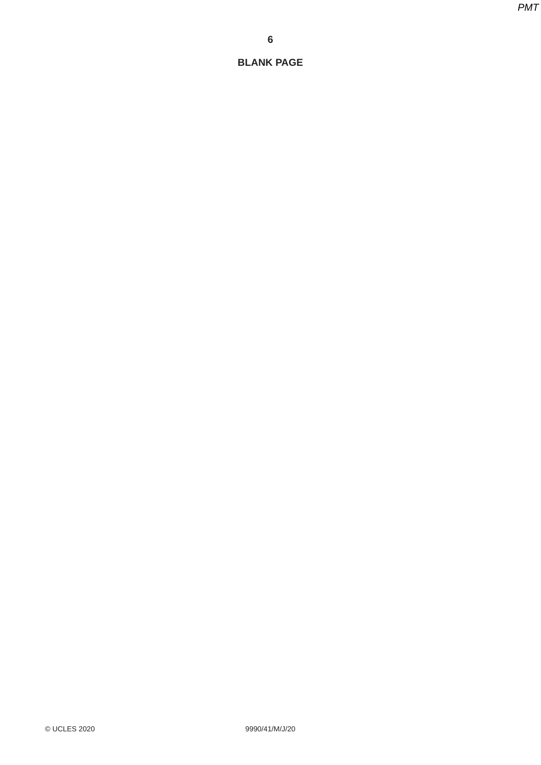## $6\phantom{a}$

#### **BLANK PAGE**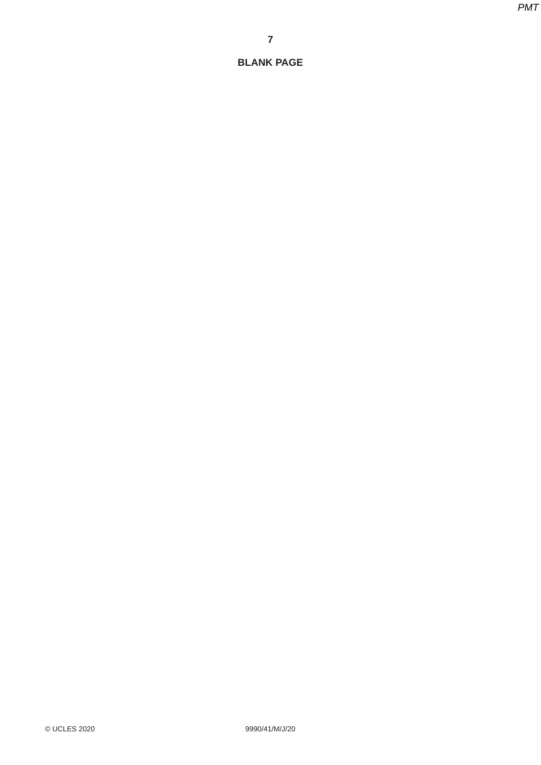### **BLANK PAGE**